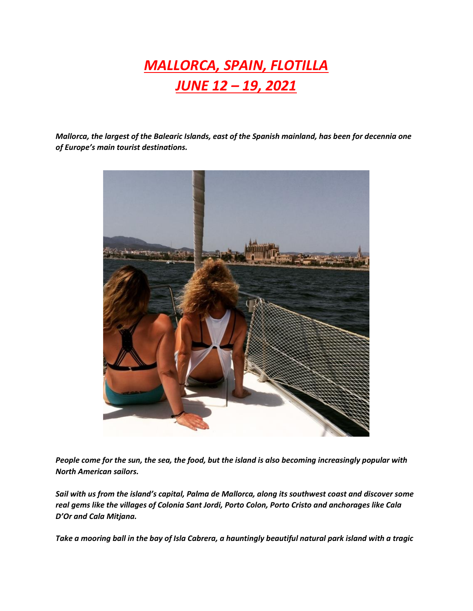## *MALLORCA, SPAIN, FLOTILLA JUNE 12 – 19, 2021*

*Mallorca, the largest of the Balearic Islands, east of the Spanish mainland, has been for decennia one of Europe's main tourist destinations.*



*People come for the sun, the sea, the food, but the island is also becoming increasingly popular with North American sailors.*

*Sail with us from the island's capital, Palma de Mallorca, along its southwest coast and discover some real gems like the villages of Colonia Sant Jordi, Porto Colon, Porto Cristo and anchorages like Cala D'Or and Cala Mitjana.* 

*Take a mooring ball in the bay of Isla Cabrera, a hauntingly beautiful natural park island with a tragic*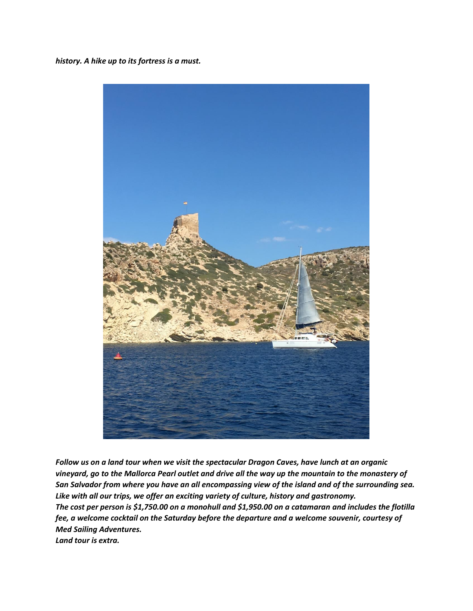*history. A hike up to its fortress is a must.*



*Follow us on a land tour when we visit the spectacular Dragon Caves, have lunch at an organic vineyard, go to the Mallorca Pearl outlet and drive all the way up the mountain to the monastery of San Salvador from where you have an all encompassing view of the island and of the surrounding sea. Like with all our trips, we offer an exciting variety of culture, history and gastronomy. The cost per person is \$1,750.00 on a monohull and \$1,950.00 on a catamaran and includes the flotilla fee, a welcome cocktail on the Saturday before the departure and a welcome souvenir, courtesy of Med Sailing Adventures. Land tour is extra.*